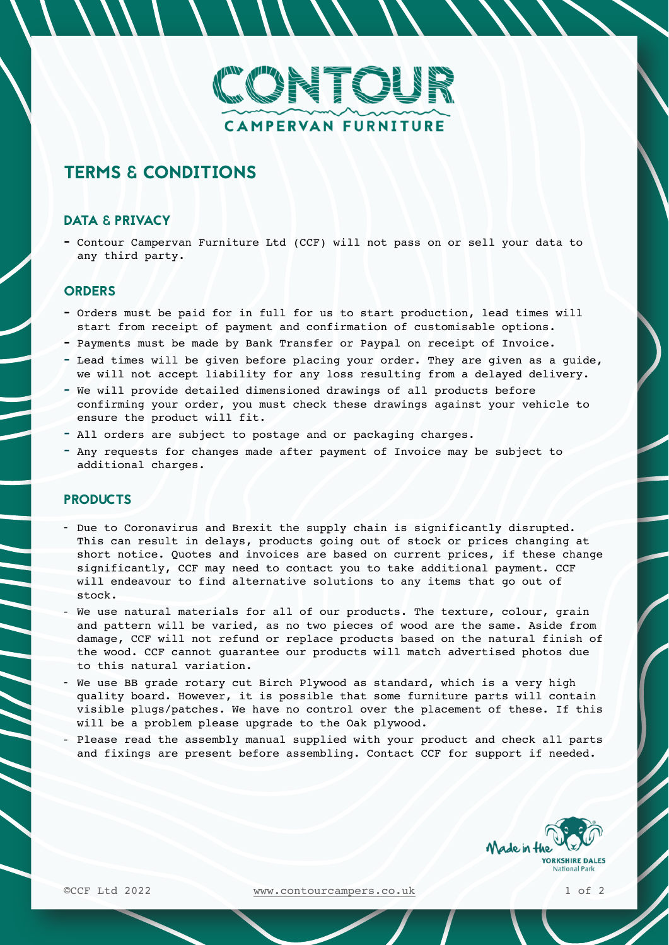

# TERMS & CONDITIONS

### DATA & PRIVACY

- Contour Campervan Furniture Ltd (CCF) will not pass on or sell your data to any third party.

## **ORDERS**

- Orders must be paid for in full for us to start production, lead times will start from receipt of payment and confirmation of customisable options.
- Payments must be made by Bank Transfer or Paypal on receipt of Invoice.
- Lead times will be given before placing your order. They are given as a guide, we will not accept liability for any loss resulting from a delayed delivery.
- We will provide detailed dimensioned drawings of all products before confirming your order, you must check these drawings against your vehicle to ensure the product will fit.
- All orders are subject to postage and or packaging charges.
- Any requests for changes made after payment of Invoice may be subject to additional charges.

## **PRODUCTS**

- Due to Coronavirus and Brexit the supply chain is significantly disrupted. This can result in delays, products going out of stock or prices changing at short notice. Quotes and invoices are based on current prices, if these change significantly, CCF may need to contact you to take additional payment. CCF will endeavour to find alternative solutions to any items that go out of stock.
- We use natural materials for all of our products. The texture, colour, grain and pattern will be varied, as no two pieces of wood are the same. Aside from damage, CCF will not refund or replace products based on the natural finish of the wood. CCF cannot guarantee our products will match advertised photos due to this natural variation.
- We use BB grade rotary cut Birch Plywood as standard, which is a very high quality board. However, it is possible that some furniture parts will contain visible plugs/patches. We have no control over the placement of these. If this will be a problem please upgrade to the Oak plywood.
- Please read the assembly manual supplied with your product and check all parts and fixings are present before assembling. Contact CCF for support if needed.



©CCF Ltd 2022 [www.contourcampers.co.uk](http://www.contourcampers.co.uk) 1 of 2